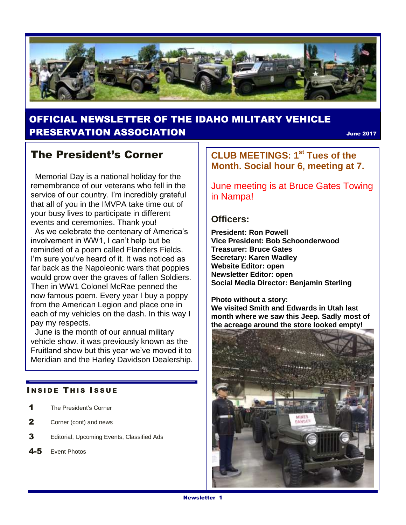

## OFFICIAL NEWSLETTER OF THE IDAHO MILITARY VEHICLE **PRESERVATION ASSOCIATION SECURE 2017** June 2017

## The President's Corner

 Memorial Day is a national holiday for the remembrance of our veterans who fell in the service of our country. I'm incredibly grateful that all of you in the IMVPA take time out of your busy lives to participate in different events and ceremonies. Thank you!

As we celebrate the centenary of America's involvement in WW1, I can't help but be reminded of a poem called Flanders Fields. I'm sure you've heard of it. It was noticed as far back as the Napoleonic wars that poppies would grow over the graves of fallen Soldiers. Then in WW1 Colonel McRae penned the now famous poem. Every year I buy a poppy from the American Legion and place one in each of my vehicles on the dash. In this way I pay my respects.

 June is the month of our annual military vehicle show. it was previously known as the Fruitland show but this year we've moved it to Meridian and the Harley Davidson Dealership.

#### **INSIDE THIS ISSUE**

- 1 The President's Corner
- 2 Corner (cont) and news
- 3 Editorial, Upcoming Events, Classified Ads
- 4-5 Event Photos

**CLUB MEETINGS: 1st Tues of the Month. Social hour 6, meeting at 7.** 

June meeting is at Bruce Gates Towing in Nampa!

#### **Officers:**

**President: Ron Powell Vice President: Bob Schoonderwood Treasurer: Bruce Gates Secretary: Karen Wadley Website Editor: open Newsletter Editor: open Social Media Director: Benjamin Sterling**

**Photo without a story: We visited Smith and Edwards in Utah last month where we saw this Jeep. Sadly most of the acreage around the store looked empty!**

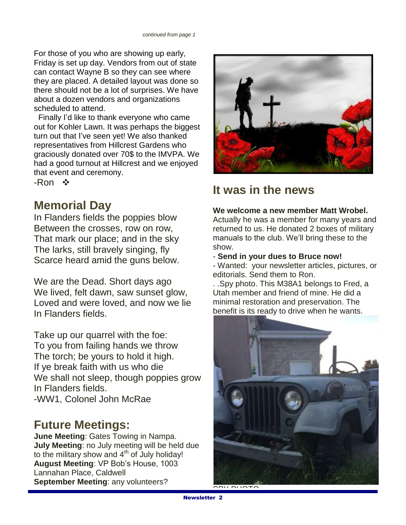For those of you who are showing up early, Friday is set up day. Vendors from out of state can contact Wayne B so they can see where they are placed. A detailed layout was done so there should not be a lot of surprises. We have about a dozen vendors and organizations scheduled to attend.

 Finally I'd like to thank everyone who came out for Kohler Lawn. It was perhaps the biggest turn out that I've seen yet! We also thanked representatives from Hillcrest Gardens who graciously donated over 70\$ to the IMVPA. We had a good turnout at Hillcrest and we enjoyed that event and ceremony.

-Ron ❖

# **Memorial Day**

In Flanders fields the poppies blow Between the crosses, row on row, That mark our place; and in the sky The larks, still bravely singing, fly Scarce heard amid the guns below.

We are the Dead. Short days ago We lived, felt dawn, saw sunset glow, Loved and were loved, and now we lie In Flanders fields.

Take up our quarrel with the foe: To you from failing hands we throw The torch; be yours to hold it high. If ye break faith with us who die We shall not sleep, though poppies grow In Flanders fields. -WW1, Colonel John McRae

## **Future Meetings:**

**June Meeting**: Gates Towing in Nampa. **July Meeting**: no July meeting will be held due to the military show and 4<sup>th</sup> of July holiday! **August Meeting**: VP Bob's House, 1003 Lannahan Place, Caldwell **September Meeting**: any volunteers?



# **It was in the news**

#### **We welcome a new member Matt Wrobel.**

Actually he was a member for many years and returned to us. He donated 2 boxes of military manuals to the club. We'll bring these to the show.

#### - **Send in your dues to Bruce now!**

- Wanted: your newsletter articles, pictures, or editorials. Send them to Ron.

. .Spy photo. This M38A1 belongs to Fred, a Utah member and friend of mine. He did a minimal restoration and preservation. The benefit is its ready to drive when he wants.



 $S$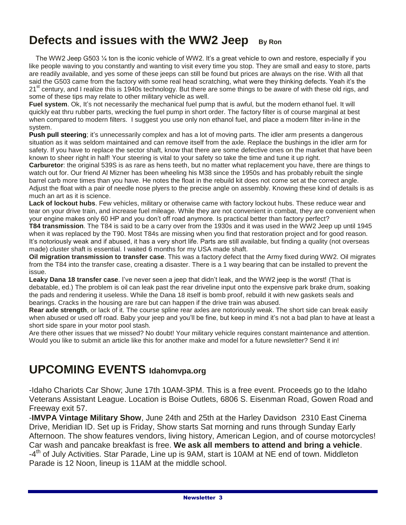# **Defects and issues with the WW2 Jeep By Ron**

 The WW2 Jeep G503 ¼ ton is the iconic vehicle of WW2. It's a great vehicle to own and restore, especially if you like people waving to you constantly and wanting to visit every time you stop. They are small and easy to store, parts are readily available, and yes some of these jeeps can still be found but prices are always on the rise. With all that said the G503 came from the factory with some real head scratching, what were they thinking defects. Yeah it's the 21<sup>st</sup> century, and I realize this is 1940s technology. But there are some things to be aware of with these old rigs, and some of these tips may relate to other military vehicle as well.

**Fuel system**. Ok, It's not necessarily the mechanical fuel pump that is awful, but the modern ethanol fuel. It will quickly eat thru rubber parts, wrecking the fuel pump in short order. The factory filter is of course marginal at best when compared to modern filters. I suggest you use only non ethanol fuel, and place a modern filter in-line in the system.

**Push pull steering**; it's unnecessarily complex and has a lot of moving parts. The idler arm presents a dangerous situation as it was seldom maintained and can remove itself from the axle. Replace the bushings in the idler arm for safety. If you have to replace the sector shaft, know that there are some defective ones on the market that have been known to sheer right in half! Your steering is vital to your safety so take the time and tune it up right.

**Carburetor**: the original 539S is as rare as hens teeth, but no matter what replacement you have, there are things to watch out for. Our friend Al Mizner has been wheeling his M38 since the 1950s and has probably rebuilt the single barrel carb more times than you have. He notes the float in the rebuild kit does not come set at the correct angle. Adjust the float with a pair of needle nose plyers to the precise angle on assembly. Knowing these kind of details is as much an art as it is science.

**Lack of lockout hubs**. Few vehicles, military or otherwise came with factory lockout hubs. These reduce wear and tear on your drive train, and increase fuel mileage. While they are not convenient in combat, they are convenient when your engine makes only 60 HP and you don't off road anymore. Is practical better than factory perfect?

**T84 transmission**. The T84 is said to be a carry over from the 1930s and it was used in the WW2 Jeep up until 1945 when it was replaced by the T90. Most T84s are missing when you find that restoration project and for good reason. It's notoriously weak and if abused, it has a very short life. Parts are still available, but finding a quality (not overseas made) cluster shaft is essential. I waited 6 months for my USA made shaft.

**Oil migration transmission to transfer case**. This was a factory defect that the Army fixed during WW2. Oil migrates from the T84 into the transfer case, creating a disaster. There is a 1 way bearing that can be installed to prevent the issue.

**Leaky Dana 18 transfer case**. I've never seen a jeep that didn't leak, and the WW2 jeep is the worst! (That is debatable, ed.) The problem is oil can leak past the rear driveline input onto the expensive park brake drum, soaking the pads and rendering it useless. While the Dana 18 itself is bomb proof, rebuild it with new gaskets seals and bearings. Cracks in the housing are rare but can happen if the drive train was abused.

**Rear axle strength**, or lack of it. The course spline rear axles are notoriously weak. The short side can break easily when abused or used off road. Baby your jeep and you'll be fine, but keep in mind it's not a bad plan to have at least a short side spare in your motor pool stash.

Are there other issues that we missed? No doubt! Your military vehicle requires constant maintenance and attention. Would you like to submit an article like this for another make and model for a future newsletter? Send it in!

# **UPCOMING EVENTS Idahomvpa.org**

-Idaho Chariots Car Show; June 17th 10AM-3PM. This is a free event. Proceeds go to the Idaho Veterans Assistant League. Location is Boise Outlets, 6806 S. Eisenman Road, Gowen Road and Freeway exit 57.

-**IMVPA Vintage Military Show**, June 24th and 25th at the Harley Davidson 2310 East Cinema Drive, Meridian ID. Set up is Friday, Show starts Sat morning and runs through Sunday Early Afternoon. The show features vendors, living history, American Legion, and of course motorcycles! Car wash and pancake breakfast is free. **We ask all members to attend and bring a vehicle**. -4<sup>th</sup> of July Activities. Star Parade, Line up is 9AM, start is 10AM at NE end of town. Middleton Parade is 12 Noon, lineup is 11AM at the middle school.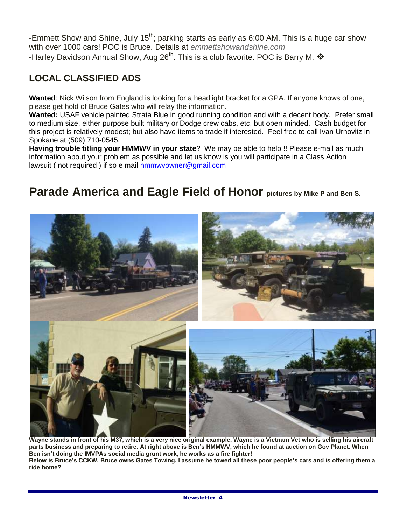-Emmett Show and Shine, July  $15^{th}$ ; parking starts as early as 6:00 AM. This is a huge car show with over 1000 cars! POC is Bruce. Details at *emmettshowandshine.com* -Harley Davidson Annual Show, Aug 26<sup>th</sup>. This is a club favorite. POC is Barry M.  $\bm{\hat{v}}$ 

### **LOCAL CLASSIFIED ADS**

**Wanted**: Nick Wilson from England is looking for a headlight bracket for a GPA. If anyone knows of one, please get hold of Bruce Gates who will relay the information.

**Wanted:** USAF vehicle painted Strata Blue in good running condition and with a decent body. Prefer small to medium size, either purpose built military or Dodge crew cabs, etc, but open minded. Cash budget for this project is relatively modest; but also have items to trade if interested. Feel free to call Ivan Urnovitz in Spokane at (509) 710-0545.

**Having trouble titling your HMMWV in your state**? We may be able to help !! Please e-mail as much information about your problem as possible and let us know is you will participate in a Class Action lawsuit (not required) if so e mail [hmmwvowner@gmail.com](mailto:hmmwvowner@gmail.com)

## **Parade America and Eagle Field of Honor pictures by Mike P and Ben S.**



**Wayne stands in front of his M37, which is a very nice original example. Wayne is a Vietnam Vet who is selling his aircraft parts business and preparing to retire. At right above is Ben's HMMWV, which he found at auction on Gov Planet. When Ben isn't doing the IMVPAs social media grunt work, he works as a fire fighter! Below is Bruce's CCKW. Bruce owns Gates Towing. I assume he towed all these poor people's cars and is offering them a ride home?**